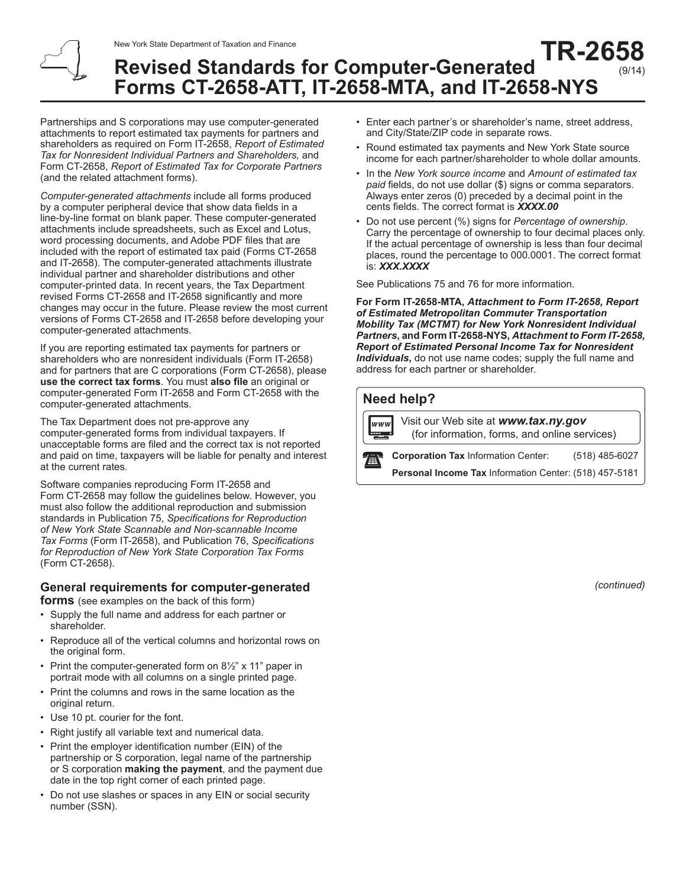#### **Revised Standards for Computer-Generated Forms CT-2658-ATT, IT-2658-MTA, and IT-2658-NYS TR-2658** (9/14)

Partnerships and S corporations may use computer-generated attachments to report estimated tax payments for partners and shareholders as required on Form IT-2658, *Report of Estimated Tax for Nonresident Individual Partners and Shareholders,* and Form CT-2658, *Report of Estimated Tax for Corporate Partners* (and the related attachment forms).

*Computer-generated attachments* include all forms produced by a computer peripheral device that show data fields in a line-by-line format on blank paper. These computer-generated attachments include spreadsheets, such as Excel and Lotus, word processing documents, and Adobe PDF files that are included with the report of estimated tax paid (Forms CT-2658 and IT-2658). The computer-generated attachments illustrate individual partner and shareholder distributions and other computer-printed data. In recent years, the Tax Department revised Forms CT-2658 and IT-2658 significantly and more changes may occur in the future. Please review the most current versions of Forms CT-2658 and IT-2658 before developing your computer-generated attachments.

If you are reporting estimated tax payments for partners or shareholders who are nonresident individuals (Form IT-2658) and for partners that are C corporations (Form CT-2658), please **use the correct tax forms**. You must **also file** an original or computer-generated Form IT-2658 and Form CT-2658 with the computer-generated attachments.

The Tax Department does not pre-approve any computer-generated forms from individual taxpayers. If unacceptable forms are filed and the correct tax is not reported and paid on time, taxpayers will be liable for penalty and interest at the current rates.

Software companies reproducing Form IT-2658 and Form CT-2658 may follow the guidelines below. However, you must also follow the additional reproduction and submission standards in Publication 75, *Specifications for Reproduction of New York State Scannable and Non-scannable Income Tax Forms* (Form IT-2658), and Publication 76, *Specifications for Reproduction of New York State Corporation Tax Forms* (Form CT-2658).

## **General requirements for computer-generated**

**forms** (see examples on the back of this form)

- Supply the full name and address for each partner or shareholder.
- Reproduce all of the vertical columns and horizontal rows on the original form.
- Print the computer-generated form on 8½" x 11" paper in portrait mode with all columns on a single printed page.
- Print the columns and rows in the same location as the original return.
- Use 10 pt. courier for the font.
- Right justify all variable text and numerical data.
- Print the employer identification number (EIN) of the partnership or S corporation, legal name of the partnership or S corporation **making the payment**, and the payment due date in the top right corner of each printed page.
- Do not use slashes or spaces in any EIN or social security number (SSN).
- Enter each partner's or shareholder's name, street address, and City/State/ZIP code in separate rows.
- Round estimated tax payments and New York State source income for each partner/shareholder to whole dollar amounts.
- In the *New York source income* and *Amount of estimated tax paid* fields, do not use dollar (\$) signs or comma separators. Always enter zeros (0) preceded by a decimal point in the cents fields. The correct format is *XXXX.00*
- Do not use percent (%) signs for *Percentage of ownership*. Carry the percentage of ownership to four decimal places only. If the actual percentage of ownership is less than four decimal places, round the percentage to 000.0001. The correct format is: *XXX.XXXX*

See Publications 75 and 76 for more information.

**For Form IT-2658-MTA,** *Attachment to Form IT-2658, Report of Estimated Metropolitan Commuter Transportation Mobility Tax (MCTMT) for New York Nonresident Individual Partners***, and Form IT-2658-NYS,** *Attachment to Form IT-2658, Report of Estimated Personal Income Tax for Nonresident Individuals***,** do not use name codes; supply the full name and address for each partner or shareholder.

## **Need help?**

Visit our Web site at *www.tax.ny.gov* www (for information, forms, and online services) **Corporation Tax** Information Center: (518) 485-6027 全 **Personal Income Tax** Information Center: (518) 457-5181

*(continued)*